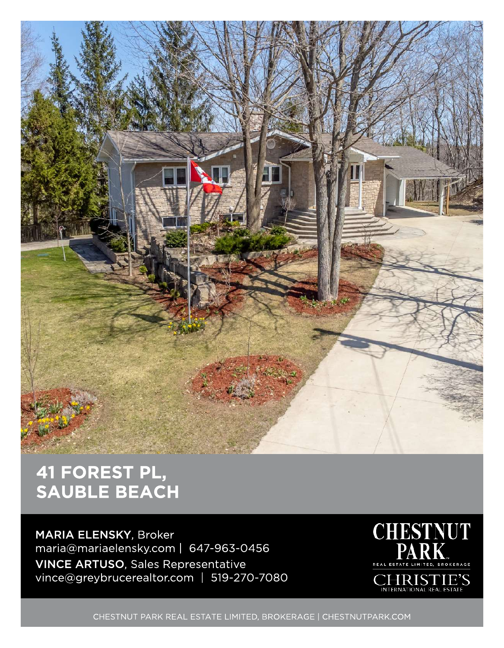

## 41 FOREST PL, SAUBLE BEACH

MARIA ELENSKY, Broker maria@mariaelensky.com | 647-963-0 456 VINCE ARTUSO, Sales Representative vince@greybrucerealtor.com | 519-270-7080



CHESTNUT PARK REAL ESTATE LIMITED, BROKERAGE | CHESTNUTPARK.COM